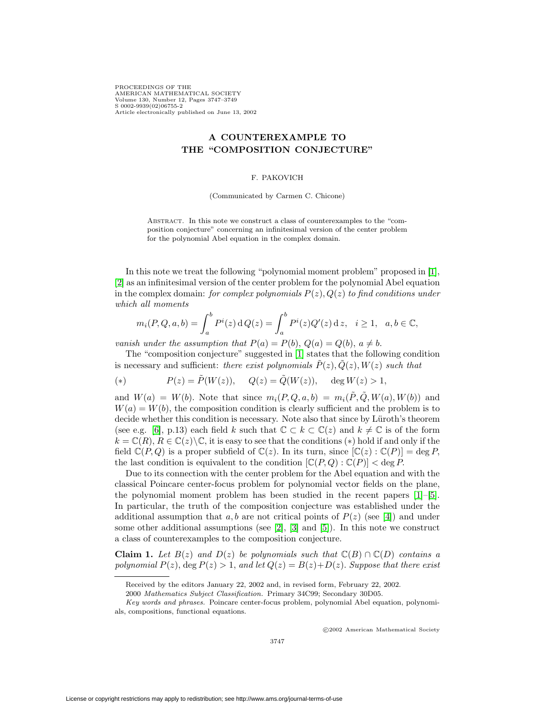PROCEEDINGS OF THE AMERICAN MATHEMATICAL SOCIETY Volume 130, Number 12, Pages 3747–3749 S 0002-9939(02)06755-2 Article electronically published on June 13, 2002

## **A COUNTEREXAMPLE TO THE "COMPOSITION CONJECTURE"**

## F. PAKOVICH

(Communicated by Carmen C. Chicone)

Abstract. In this note we construct a class of counterexamples to the "composition conjecture" concerning an infinitesimal version of the center problem for the polynomial Abel equation in the complex domain.

In this note we treat the following "polynomial moment problem" proposed in [\[1\]](#page-1-0), [\[2\]](#page-1-1) as an infinitesimal version of the center problem for the polynomial Abel equation in the complex domain: for complex polynomials  $P(z)$ ,  $Q(z)$  to find conditions under which all moments

$$
m_i(P, Q, a, b) = \int_a^b P^i(z) dQ(z) = \int_a^b P^i(z) Q'(z) dz, \quad i \ge 1, \quad a, b \in \mathbb{C},
$$

vanish under the assumption that  $P(a) = P(b)$ ,  $Q(a) = Q(b)$ ,  $a \neq b$ .

The "composition conjecture" suggested in [\[1\]](#page-1-0) states that the following condition is necessary and sufficient: there exist polynomials  $\tilde{P}(z), \tilde{Q}(z), W(z)$  such that

(\*) 
$$
P(z) = \tilde{P}(W(z)), \quad Q(z) = \tilde{Q}(W(z)), \quad \deg W(z) > 1,
$$

and  $W(a) = W(b)$ . Note that since  $m_i(P, Q, a, b) = m_i(\tilde{P}, \tilde{Q}, W(a), W(b))$  and  $W(a) = W(b)$ , the composition condition is clearly sufficient and the problem is to decide whether this condition is necessary. Note also that since by Lüroth's theorem (see e.g. [\[6\]](#page-2-0), p.13) each field k such that  $\mathbb{C} \subset k \subset \mathbb{C}(z)$  and  $k \neq \mathbb{C}$  is of the form  $k = \mathbb{C}(R)$ ,  $R \in \mathbb{C}(z) \backslash \mathbb{C}$ , it is easy to see that the conditions (\*) hold if and only if the field  $\mathbb{C}(P,Q)$  is a proper subfield of  $\mathbb{C}(z)$ . In its turn, since  $[\mathbb{C}(z) : \mathbb{C}(P)] = \deg P$ , the last condition is equivalent to the condition  $[\mathbb{C}(P,Q):\mathbb{C}(P)] < \text{deg } P$ .

Due to its connection with the center problem for the Abel equation and with the classical Poincare center-focus problem for polynomial vector fields on the plane, the polynomial moment problem has been studied in the recent papers  $[1]-[5]$  $[1]-[5]$  $[1]-[5]$ . In particular, the truth of the composition conjecture was established under the additional assumption that a, b are not critical points of  $P(z)$  (see [\[4\]](#page-2-2)) and under some other additional assumptions (see  $[2]$ ,  $[3]$  and  $[5]$ ). In this note we construct a class of counterexamples to the composition conjecture.

**Claim 1.** Let  $B(z)$  and  $D(z)$  be polynomials such that  $\mathbb{C}(B) \cap \mathbb{C}(D)$  contains a polynomial  $P(z)$ , deg  $P(z) > 1$ , and let  $Q(z) = B(z) + D(z)$ . Suppose that there exist

c 2002 American Mathematical Society

Received by the editors January 22, 2002 and, in revised form, February 22, 2002.

<sup>2000</sup> Mathematics Subject Classification. Primary 34C99; Secondary 30D05.

Key words and phrases. Poincare center-focus problem, polynomial Abel equation, polynomials, compositions, functional equations.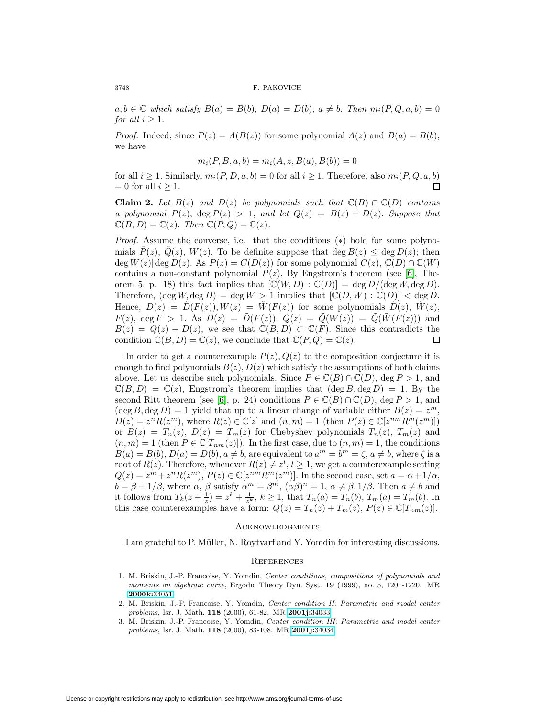$a, b \in \mathbb{C}$  which satisfy  $B(a) = B(b), D(a) = D(b), a \neq b$ . Then  $m_i(P, Q, a, b) = 0$ for all  $i \geq 1$ .

*Proof.* Indeed, since  $P(z) = A(B(z))$  for some polynomial  $A(z)$  and  $B(a) = B(b)$ , we have

$$
m_i(P, B, a, b) = m_i(A, z, B(a), B(b)) = 0
$$

for all  $i \ge 1$ . Similarly,  $m_i(P, D, a, b) = 0$  for all  $i \ge 1$ . Therefore, also  $m_i(P, Q, a, b) = 0$  for all  $i \ge 1$ .  $= 0$  for all  $i \geq 1$ .

**Claim 2.** Let  $B(z)$  and  $D(z)$  be polynomials such that  $\mathbb{C}(B) \cap \mathbb{C}(D)$  contains a polynomial  $P(z)$ ,  $\deg P(z) > 1$ , and let  $Q(z) = B(z) + D(z)$ . Suppose that  $\mathbb{C}(B, D) = \mathbb{C}(z)$ . Then  $\mathbb{C}(P, Q) = \mathbb{C}(z)$ .

*Proof.* Assume the converse, i.e. that the conditions  $(*)$  hold for some polynomials  $P(z)$ ,  $Q(z)$ ,  $W(z)$ . To be definite suppose that deg  $B(z) \leq \deg D(z)$ ; then deg  $W(z)|$  deg  $D(z)$ . As  $P(z) = C(D(z))$  for some polynomial  $C(z)$ ,  $\mathbb{C}(D) \cap \mathbb{C}(W)$ contains a non-constant polynomial  $P(z)$ . By Engstrom's theorem (see [\[6\]](#page-2-0), Theorem 5, p. 18) this fact implies that  $[\mathbb{C}(W, D) : \mathbb{C}(D)] = \deg D / (\deg W, \deg D)$ . Therefore,  $(\deg W, \deg D) = \deg W > 1$  implies that  $[\mathbb{C}(D, W) : \mathbb{C}(D)] < \deg D$ . Hence,  $D(z) = D(F(z)), W(z) = W(F(z))$  for some polynomials  $D(z), W(z)$ ,  $F(z)$ , deg  $F > 1$ . As  $D(z) = \tilde{D}(F(z))$ ,  $Q(z) = \tilde{Q}(W(z)) = \tilde{Q}(\tilde{W}(F(z)))$  and  $B(z) = Q(z) - D(z)$ , we see that  $\mathbb{C}(B, D) \subset \mathbb{C}(F)$ . Since this contradicts the condition  $\mathbb{C}(B, D) = \mathbb{C}(z)$ , we conclude that  $\mathbb{C}(P, Q) = \mathbb{C}(z)$ . condition  $\mathbb{C}(B, D) = \mathbb{C}(z)$ , we conclude that  $\mathbb{C}(P, Q) = \mathbb{C}(z)$ .

In order to get a counterexample  $P(z)$ ,  $Q(z)$  to the composition conjecture it is enough to find polynomials  $B(z)$ ,  $D(z)$  which satisfy the assumptions of both claims above. Let us describe such polynomials. Since  $P \in \mathbb{C}(B) \cap \mathbb{C}(D)$ , deg  $P > 1$ , and  $\mathbb{C}(B,D) = \mathbb{C}(z)$ , Engstrom's theorem implies that  $(\deg B, \deg D) = 1$ . By the second Ritt theorem (see [\[6\]](#page-2-0), p. 24) conditions  $P \in \mathbb{C}(B) \cap \mathbb{C}(D)$ , deg  $P > 1$ , and  $(\deg B, \deg D) = 1$  yield that up to a linear change of variable either  $B(z) = z<sup>m</sup>$ ,  $D(z) = z^n R(z^m)$ , where  $R(z) \in \mathbb{C}[z]$  and  $(n, m) = 1$  (then  $P(z) \in \mathbb{C}[z^{nm} R^m(z^m)]$ ) or  $B(z) = T_n(z)$ ,  $D(z) = T_m(z)$  for Chebyshev polynomials  $T_n(z)$ ,  $T_m(z)$  and  $(n, m) = 1$  (then  $P \in \mathbb{C}[T_{nm}(z)]$ ). In the first case, due to  $(n, m) = 1$ , the conditions  $B(a) = B(b), D(a) = D(b), a \neq b$ , are equivalent to  $a<sup>m</sup> = b<sup>m</sup> = \zeta, a \neq b$ , where  $\zeta$  is a root of  $R(z)$ . Therefore, whenever  $R(z) \neq z^l, l \geq 1$ , we get a counterexample setting  $Q(z) = z^m + z^n R(z^m), P(z) \in \mathbb{C}[z^{nm} R^m(z^m)].$  In the second case, set  $a = \alpha + 1/\alpha$ ,  $b = \beta + 1/\beta$ , where  $\alpha$ ,  $\beta$  satisfy  $\alpha^m = \beta^m$ ,  $(\alpha \beta)^n = 1$ ,  $\alpha \neq \beta$ ,  $1/\beta$ . Then  $a \neq b$  and it follows from  $T_k(z + \frac{1}{z}) = z^k + \frac{1}{z^k}$ ,  $k \ge 1$ , that  $T_n(a) = T_n(b)$ ,  $T_m(a) = T_m(b)$ . In this case counterexamples have a form:  $Q(z) = T_n(z) + T_m(z)$ ,  $P(z) \in \mathbb{C}[T_{nm}(z)]$ .

## **ACKNOWLEDGMENTS**

I am grateful to P. Müller, N. Roytvarf and Y. Yomdin for interesting discussions.

## **REFERENCES**

- <span id="page-1-0"></span>1. M. Briskin, J.-P. Francoise, Y. Yomdin, Center conditions, compositions of polynomials and moments on algebraic curve, Ergodic Theory Dyn. Syst. **19** (1999), no. 5, 1201-1220. MR **[2000k:](http://www.ams.org/mathscinet-getitem?mr=2000k:34051)**34051
- <span id="page-1-1"></span>2. M. Briskin, J.-P. Francoise, Y. Yomdin, Center condition II: Parametric and model center problems, Isr. J. Math. **118** (2000), 61-82. MR **[2001j:](http://www.ams.org/mathscinet-getitem?mr=2001j:34033)**34033
- <span id="page-1-2"></span>3. M. Briskin, J.-P. Francoise, Y. Yomdin, Center condition III: Parametric and model center problems, Isr. J. Math. **118** (2000), 83-108. MR **[2001j:](http://www.ams.org/mathscinet-getitem?mr=2001j:34034)**34034